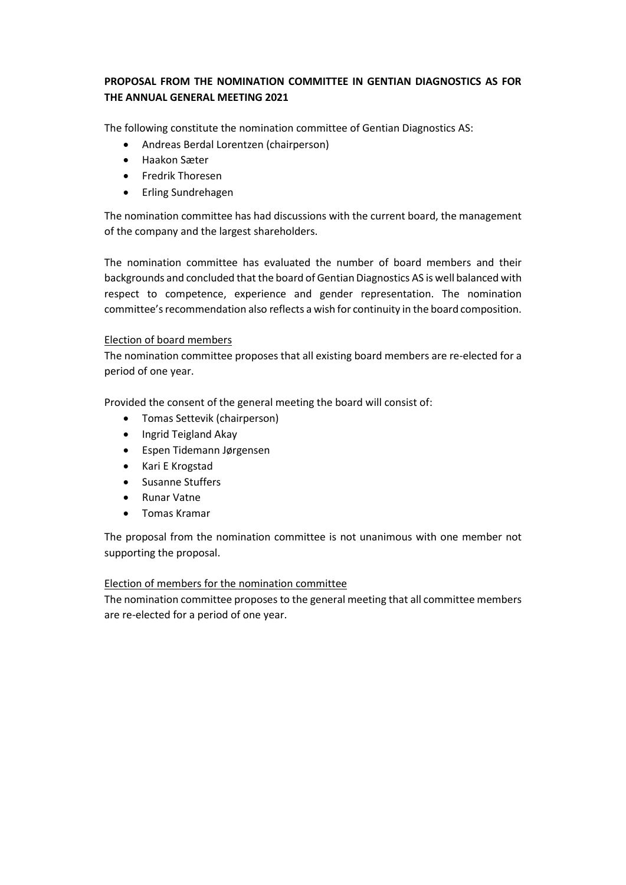# **PROPOSAL FROM THE NOMINATION COMMITTEE IN GENTIAN DIAGNOSTICS AS FOR THE ANNUAL GENERAL MEETING 2021**

The following constitute the nomination committee of Gentian Diagnostics AS:

- Andreas Berdal Lorentzen (chairperson)
- Haakon Sæter
- Fredrik Thoresen
- Erling Sundrehagen

The nomination committee has had discussions with the current board, the management of the company and the largest shareholders.

The nomination committee has evaluated the number of board members and their backgrounds and concluded that the board of Gentian Diagnostics AS is well balanced with respect to competence, experience and gender representation. The nomination committee's recommendation also reflects a wish for continuity in the board composition.

## Election of board members

The nomination committee proposes that all existing board members are re-elected for a period of one year.

Provided the consent of the general meeting the board will consist of:

- Tomas Settevik (chairperson)
- Ingrid Teigland Akay
- Espen Tidemann Jørgensen
- Kari E Krogstad
- Susanne Stuffers
- Runar Vatne
- Tomas Kramar

The proposal from the nomination committee is not unanimous with one member not supporting the proposal.

## Election of members for the nomination committee

The nomination committee proposes to the general meeting that all committee members are re-elected for a period of one year.